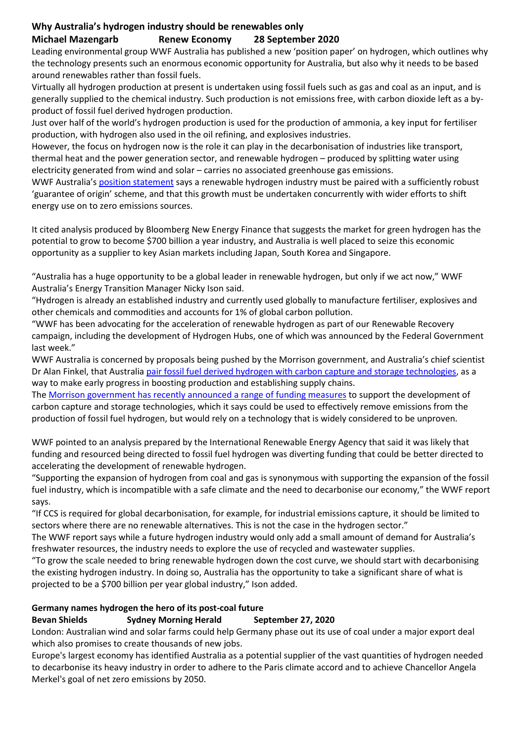## **Why Australia's hydrogen industry should be renewables only Michael Mazengarb Renew Economy 28 September 2020**

Leading environmental group WWF Australia has published a new 'position paper' on hydrogen, which outlines why the technology presents such an enormous economic opportunity for Australia, but also why it needs to be based around renewables rather than fossil fuels.

Virtually all hydrogen production at present is undertaken using fossil fuels such as gas and coal as an input, and is generally supplied to the chemical industry. Such production is not emissions free, with carbon dioxide left as a byproduct of fossil fuel derived hydrogen production.

Just over half of the world's hydrogen production is used for the production of ammonia, a key input for fertiliser production, with hydrogen also used in the oil refining, and explosives industries.

However, the focus on hydrogen now is the role it can play in the decarbonisation of industries like transport, thermal heat and the power generation sector, and renewable hydrogen – produced by splitting water using electricity generated from wind and solar – carries no associated greenhouse gas emissions.

WWF Australia's [position statement](https://www.wwf.org.au/what-we-do/climate/renewables/renewable-export-covid-19-recovery-package) says a renewable hydrogen industry must be paired with a sufficiently robust 'guarantee of origin' scheme, and that this growth must be undertaken concurrently with wider efforts to shift energy use on to zero emissions sources.

It cited analysis produced by Bloomberg New Energy Finance that suggests the market for green hydrogen has the potential to grow to become \$700 billion a year industry, and Australia is well placed to seize this economic opportunity as a supplier to key Asian markets including Japan, South Korea and Singapore.

"Australia has a huge opportunity to be a global leader in renewable hydrogen, but only if we act now," WWF Australia's Energy Transition Manager Nicky Ison said.

"Hydrogen is already an established industry and currently used globally to manufacture fertiliser, explosives and other chemicals and commodities and accounts for 1% of global carbon pollution.

"WWF has been advocating for the acceleration of renewable hydrogen as part of our Renewable Recovery campaign, including the development of Hydrogen Hubs, one of which was announced by the Federal Government last week."

WWF Australia is concerned by proposals being pushed by the Morrison government, and Australia's chief scientist Dr Alan Finkel, that Australia [pair fossil fuel derived hydrogen with carbon capture and storage technologies,](https://reneweconomy.com.au/finkel-renews-call-for-australia-to-embrace-hydrogen-from-coal-and-gas-19645/) as a way to make early progress in boosting production and establishing supply chains.

The [Morrison government has recently announced a range of funding measures](https://reneweconomy.com.au/arena-to-get-1-4-billion-as-coalition-channels-funds-to-ccs-hydrogen-and-pubs-20675/) to support the development of carbon capture and storage technologies, which it says could be used to effectively remove emissions from the production of fossil fuel hydrogen, but would rely on a technology that is widely considered to be unproven.

WWF pointed to an analysis prepared by the International Renewable Energy Agency that said it was likely that funding and resourced being directed to fossil fuel hydrogen was diverting funding that could be better directed to accelerating the development of renewable hydrogen.

"Supporting the expansion of hydrogen from coal and gas is synonymous with supporting the expansion of the fossil fuel industry, which is incompatible with a safe climate and the need to decarbonise our economy," the WWF report says.

"If CCS is required for global decarbonisation, for example, for industrial emissions capture, it should be limited to sectors where there are no renewable alternatives. This is not the case in the hydrogen sector."

The WWF report says while a future hydrogen industry would only add a small amount of demand for Australia's freshwater resources, the industry needs to explore the use of recycled and wastewater supplies.

"To grow the scale needed to bring renewable hydrogen down the cost curve, we should start with decarbonising the existing hydrogen industry. In doing so, Australia has the opportunity to take a significant share of what is projected to be a \$700 billion per year global industry," Ison added.

## **Germany names hydrogen the hero of its post-coal future**

## **Bevan Shields Sydney Morning Herald September 27, 2020**

London: Australian wind and solar farms could help Germany phase out its use of coal under a major export deal which also promises to create thousands of new jobs.

Europe's largest economy has identified Australia as a potential supplier of the vast quantities of hydrogen needed to decarbonise its heavy industry in order to adhere to the Paris climate accord and to achieve Chancellor Angela Merkel's goal of net zero emissions by 2050.